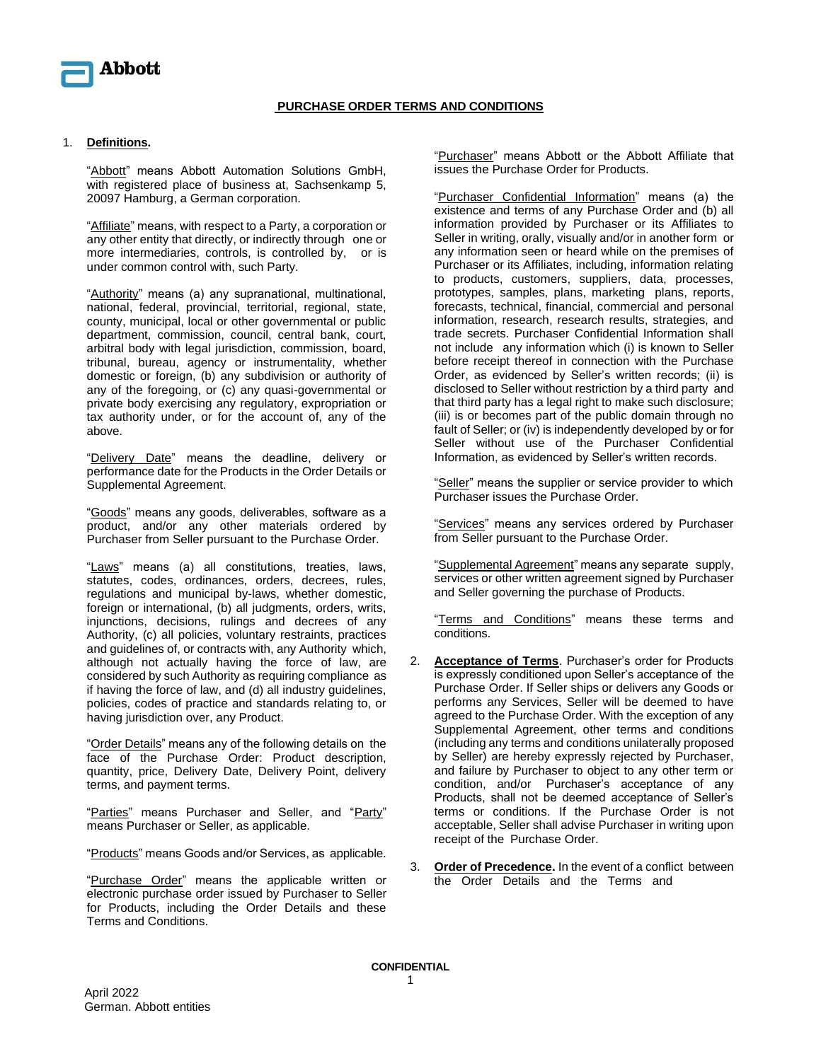

## **PURCHASE ORDER TERMS AND CONDITIONS**

## 1. **Definitions.**

"Abbott" means Abbott Automation Solutions GmbH, with registered place of business at, Sachsenkamp 5, 20097 Hamburg, a German corporation.

"Affiliate" means, with respect to a Party, a corporation or any other entity that directly, or indirectly through one or more intermediaries, controls, is controlled by, or is under common control with, such Party.

"Authority" means (a) any supranational, multinational, national, federal, provincial, territorial, regional, state, county, municipal, local or other governmental or public department, commission, council, central bank, court, arbitral body with legal jurisdiction, commission, board, tribunal, bureau, agency or instrumentality, whether domestic or foreign, (b) any subdivision or authority of any of the foregoing, or (c) any quasi-governmental or private body exercising any regulatory, expropriation or tax authority under, or for the account of, any of the above.

"Delivery Date" means the deadline, delivery or performance date for the Products in the Order Details or Supplemental Agreement.

"Goods" means any goods, deliverables, software as a product, and/or any other materials ordered by Purchaser from Seller pursuant to the Purchase Order.

"Laws" means (a) all constitutions, treaties, laws, statutes, codes, ordinances, orders, decrees, rules, regulations and municipal by-laws, whether domestic, foreign or international, (b) all judgments, orders, writs, injunctions, decisions, rulings and decrees of any Authority, (c) all policies, voluntary restraints, practices and guidelines of, or contracts with, any Authority which, although not actually having the force of law, are considered by such Authority as requiring compliance as if having the force of law, and (d) all industry guidelines, policies, codes of practice and standards relating to, or having jurisdiction over, any Product.

"Order Details" means any of the following details on the face of the Purchase Order: Product description, quantity, price, Delivery Date, Delivery Point, delivery terms, and payment terms.

"Parties" means Purchaser and Seller, and "Party" means Purchaser or Seller, as applicable.

"Products" means Goods and/or Services, as applicable.

"Purchase Order" means the applicable written or electronic purchase order issued by Purchaser to Seller for Products, including the Order Details and these Terms and Conditions.

"Purchaser" means Abbott or the Abbott Affiliate that issues the Purchase Order for Products.

"Purchaser Confidential Information" means (a) the existence and terms of any Purchase Order and (b) all information provided by Purchaser or its Affiliates to Seller in writing, orally, visually and/or in another form or any information seen or heard while on the premises of Purchaser or its Affiliates, including, information relating to products, customers, suppliers, data, processes, prototypes, samples, plans, marketing plans, reports, forecasts, technical, financial, commercial and personal information, research, research results, strategies, and trade secrets. Purchaser Confidential Information shall not include any information which (i) is known to Seller before receipt thereof in connection with the Purchase Order, as evidenced by Seller's written records; (ii) is disclosed to Seller without restriction by a third party and that third party has a legal right to make such disclosure; (iii) is or becomes part of the public domain through no fault of Seller; or (iv) is independently developed by or for Seller without use of the Purchaser Confidential Information, as evidenced by Seller's written records.

"Seller" means the supplier or service provider to which Purchaser issues the Purchase Order.

"Services" means any services ordered by Purchaser from Seller pursuant to the Purchase Order.

"Supplemental Agreement" means any separate supply, services or other written agreement signed by Purchaser and Seller governing the purchase of Products.

"Terms and Conditions" means these terms and conditions.

- 2. **Acceptance of Terms**. Purchaser's order for Products is expressly conditioned upon Seller's acceptance of the Purchase Order. If Seller ships or delivers any Goods or performs any Services, Seller will be deemed to have agreed to the Purchase Order. With the exception of any Supplemental Agreement, other terms and conditions (including any terms and conditions unilaterally proposed by Seller) are hereby expressly rejected by Purchaser, and failure by Purchaser to object to any other term or condition, and/or Purchaser's acceptance of any Products, shall not be deemed acceptance of Seller's terms or conditions. If the Purchase Order is not acceptable, Seller shall advise Purchaser in writing upon receipt of the Purchase Order.
- 3. **Order of Precedence.** In the event of a conflict between the Order Details and the Terms and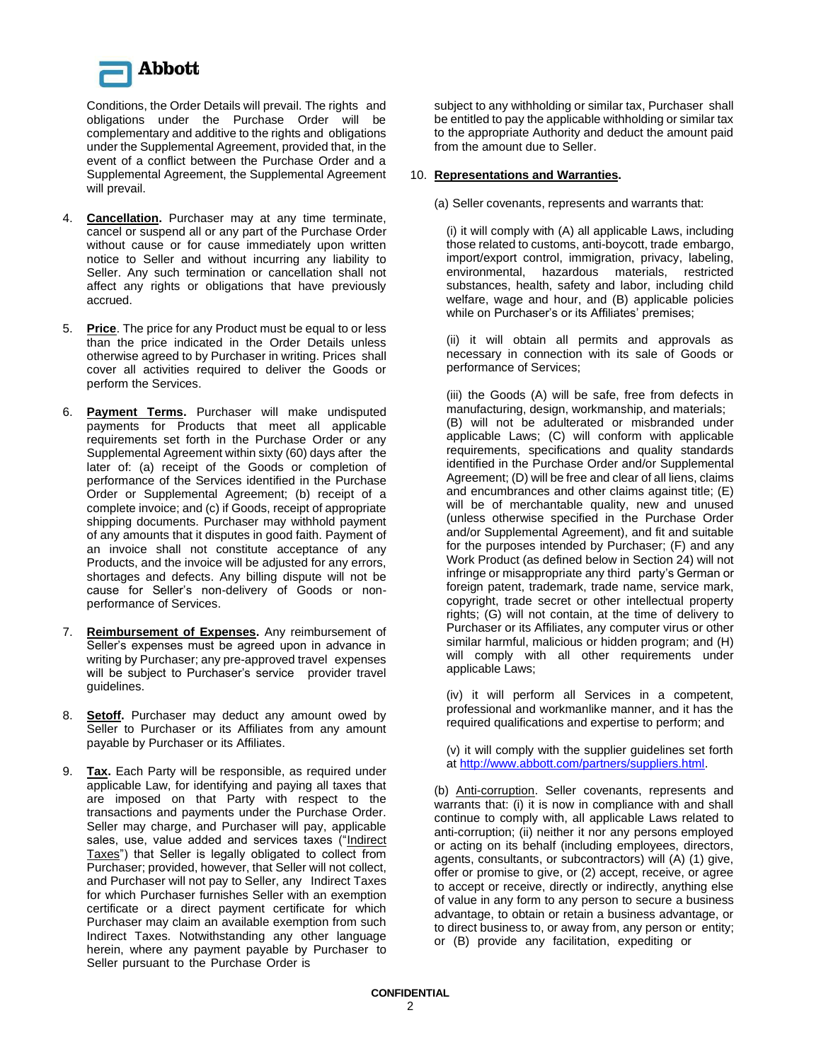

Conditions, the Order Details will prevail. The rights and obligations under the Purchase Order will be complementary and additive to the rights and obligations under the Supplemental Agreement, provided that, in the event of a conflict between the Purchase Order and a Supplemental Agreement, the Supplemental Agreement will prevail.

- 4. **Cancellation.** Purchaser may at any time terminate, cancel or suspend all or any part of the Purchase Order without cause or for cause immediately upon written notice to Seller and without incurring any liability to Seller. Any such termination or cancellation shall not affect any rights or obligations that have previously accrued.
- 5. **Price**. The price for any Product must be equal to or less than the price indicated in the Order Details unless otherwise agreed to by Purchaser in writing. Prices shall cover all activities required to deliver the Goods or perform the Services.
- 6. **Payment Terms.** Purchaser will make undisputed payments for Products that meet all applicable requirements set forth in the Purchase Order or any Supplemental Agreement within sixty (60) days after the later of: (a) receipt of the Goods or completion of performance of the Services identified in the Purchase Order or Supplemental Agreement; (b) receipt of a complete invoice; and (c) if Goods, receipt of appropriate shipping documents. Purchaser may withhold payment of any amounts that it disputes in good faith. Payment of an invoice shall not constitute acceptance of any Products, and the invoice will be adjusted for any errors. shortages and defects. Any billing dispute will not be cause for Seller's non-delivery of Goods or nonperformance of Services.
- 7. **Reimbursement of Expenses.** Any reimbursement of Seller's expenses must be agreed upon in advance in writing by Purchaser; any pre-approved travel expenses will be subject to Purchaser's service provider travel guidelines.
- 8. **Setoff.** Purchaser may deduct any amount owed by Seller to Purchaser or its Affiliates from any amount payable by Purchaser or its Affiliates.
- 9. **Tax.** Each Party will be responsible, as required under applicable Law, for identifying and paying all taxes that are imposed on that Party with respect to the transactions and payments under the Purchase Order. Seller may charge, and Purchaser will pay, applicable sales, use, value added and services taxes ("Indirect Taxes") that Seller is legally obligated to collect from Purchaser; provided, however, that Seller will not collect, and Purchaser will not pay to Seller, any Indirect Taxes for which Purchaser furnishes Seller with an exemption certificate or a direct payment certificate for which Purchaser may claim an available exemption from such Indirect Taxes. Notwithstanding any other language herein, where any payment payable by Purchaser to Seller pursuant to the Purchase Order is

subject to any withholding or similar tax, Purchaser shall be entitled to pay the applicable withholding or similar tax to the appropriate Authority and deduct the amount paid from the amount due to Seller.

## 10. **Representations and Warranties.**

(a) Seller covenants, represents and warrants that:

(i) it will comply with (A) all applicable Laws, including those related to customs, anti-boycott, trade embargo, import/export control, immigration, privacy, labeling, environmental, hazardous materials, restricted substances, health, safety and labor, including child welfare, wage and hour, and (B) applicable policies while on Purchaser's or its Affiliates' premises;

(ii) it will obtain all permits and approvals as necessary in connection with its sale of Goods or performance of Services;

(iii) the Goods (A) will be safe, free from defects in manufacturing, design, workmanship, and materials; (B) will not be adulterated or misbranded under applicable Laws; (C) will conform with applicable requirements, specifications and quality standards identified in the Purchase Order and/or Supplemental Agreement; (D) will be free and clear of all liens, claims and encumbrances and other claims against title; (E) will be of merchantable quality, new and unused (unless otherwise specified in the Purchase Order and/or Supplemental Agreement), and fit and suitable for the purposes intended by Purchaser; (F) and any Work Product (as defined below in Section 24) will not infringe or misappropriate any third party's German or foreign patent, trademark, trade name, service mark, copyright, trade secret or other intellectual property rights; (G) will not contain, at the time of delivery to Purchaser or its Affiliates, any computer virus or other similar harmful, malicious or hidden program; and (H) will comply with all other requirements under applicable Laws;

(iv) it will perform all Services in a competent, professional and workmanlike manner, and it has the required qualifications and expertise to perform; and

(v) it will comply with the supplier guidelines set forth at [http://www.abbott.com/partners/suppliers.html.](http://www.abbott.com/partners/suppliers.html)

(b) Anti-corruption. Seller covenants, represents and warrants that: (i) it is now in compliance with and shall continue to comply with, all applicable Laws related to anti-corruption; (ii) neither it nor any persons employed or acting on its behalf (including employees, directors, agents, consultants, or subcontractors) will (A) (1) give, offer or promise to give, or (2) accept, receive, or agree to accept or receive, directly or indirectly, anything else of value in any form to any person to secure a business advantage, to obtain or retain a business advantage, or to direct business to, or away from, any person or entity; or (B) provide any facilitation, expediting or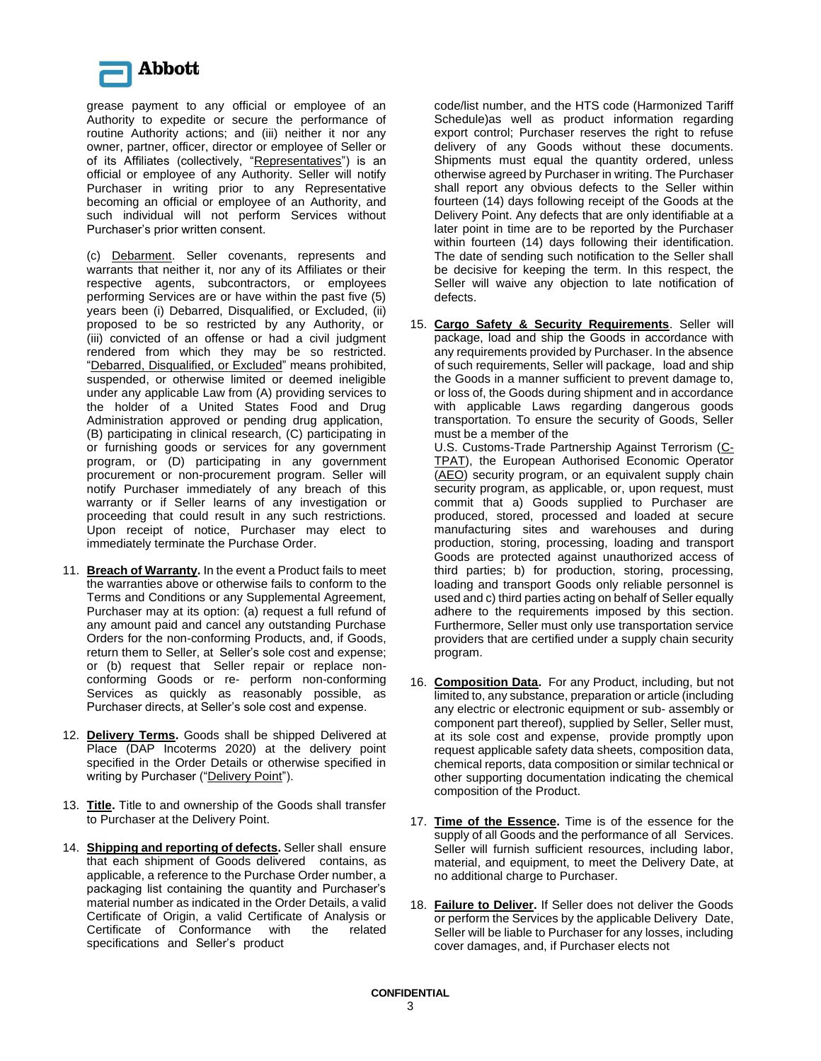

grease payment to any official or employee of an Authority to expedite or secure the performance of routine Authority actions; and (iii) neither it nor any owner, partner, officer, director or employee of Seller or of its Affiliates (collectively, "Representatives") is an official or employee of any Authority. Seller will notify Purchaser in writing prior to any Representative becoming an official or employee of an Authority, and such individual will not perform Services without Purchaser's prior written consent.

(c) Debarment. Seller covenants, represents and warrants that neither it, nor any of its Affiliates or their respective agents, subcontractors, or employees performing Services are or have within the past five (5) years been (i) Debarred, Disqualified, or Excluded, (ii) proposed to be so restricted by any Authority, or (iii) convicted of an offense or had a civil judgment rendered from which they may be so restricted. "Debarred, Disqualified, or Excluded" means prohibited, suspended, or otherwise limited or deemed ineligible under any applicable Law from (A) providing services to the holder of a United States Food and Drug Administration approved or pending drug application, (B) participating in clinical research, (C) participating in or furnishing goods or services for any government program, or (D) participating in any government procurement or non-procurement program. Seller will notify Purchaser immediately of any breach of this warranty or if Seller learns of any investigation or proceeding that could result in any such restrictions. Upon receipt of notice, Purchaser may elect to immediately terminate the Purchase Order.

- 11. **Breach of Warranty.** In the event a Product fails to meet the warranties above or otherwise fails to conform to the Terms and Conditions or any Supplemental Agreement, Purchaser may at its option: (a) request a full refund of any amount paid and cancel any outstanding Purchase Orders for the non-conforming Products, and, if Goods, return them to Seller, at Seller's sole cost and expense; or (b) request that Seller repair or replace nonconforming Goods or re- perform non-conforming Services as quickly as reasonably possible, as Purchaser directs, at Seller's sole cost and expense.
- 12. **Delivery Terms.** Goods shall be shipped Delivered at Place (DAP Incoterms 2020) at the delivery point specified in the Order Details or otherwise specified in writing by Purchaser ("Delivery Point").
- 13. **Title.** Title to and ownership of the Goods shall transfer to Purchaser at the Delivery Point.
- 14. **Shipping and reporting of defects.** Seller shall ensure that each shipment of Goods delivered contains, as applicable, a reference to the Purchase Order number, a packaging list containing the quantity and Purchaser's material number as indicated in the Order Details, a valid Certificate of Origin, a valid Certificate of Analysis or Certificate of Conformance with the related specifications and Seller's product

code/list number, and the HTS code (Harmonized Tariff Schedule)as well as product information regarding export control; Purchaser reserves the right to refuse delivery of any Goods without these documents. Shipments must equal the quantity ordered, unless otherwise agreed by Purchaser in writing. The Purchaser shall report any obvious defects to the Seller within fourteen (14) days following receipt of the Goods at the Delivery Point. Any defects that are only identifiable at a later point in time are to be reported by the Purchaser within fourteen (14) days following their identification. The date of sending such notification to the Seller shall be decisive for keeping the term. In this respect, the Seller will waive any objection to late notification of defects.

15. **Cargo Safety & Security Requirements**. Seller will package, load and ship the Goods in accordance with any requirements provided by Purchaser. In the absence of such requirements, Seller will package, load and ship the Goods in a manner sufficient to prevent damage to, or loss of, the Goods during shipment and in accordance with applicable Laws regarding dangerous goods transportation. To ensure the security of Goods, Seller must be a member of the

U.S. Customs-Trade Partnership Against Terrorism (C-TPAT), the European Authorised Economic Operator (AEO) security program, or an equivalent supply chain security program, as applicable, or, upon request, must commit that a) Goods supplied to Purchaser are produced, stored, processed and loaded at secure manufacturing sites and warehouses and during production, storing, processing, loading and transport Goods are protected against unauthorized access of third parties; b) for production, storing, processing, loading and transport Goods only reliable personnel is used and c) third parties acting on behalf of Seller equally adhere to the requirements imposed by this section. Furthermore, Seller must only use transportation service providers that are certified under a supply chain security program.

- 16. **Composition Data.** For any Product, including, but not limited to, any substance, preparation or article (including any electric or electronic equipment or sub- assembly or component part thereof), supplied by Seller, Seller must, at its sole cost and expense, provide promptly upon request applicable safety data sheets, composition data, chemical reports, data composition or similar technical or other supporting documentation indicating the chemical composition of the Product.
- 17. **Time of the Essence.** Time is of the essence for the supply of all Goods and the performance of all Services. Seller will furnish sufficient resources, including labor, material, and equipment, to meet the Delivery Date, at no additional charge to Purchaser.
- 18. **Failure to Deliver.** If Seller does not deliver the Goods or perform the Services by the applicable Delivery Date, Seller will be liable to Purchaser for any losses, including cover damages, and, if Purchaser elects not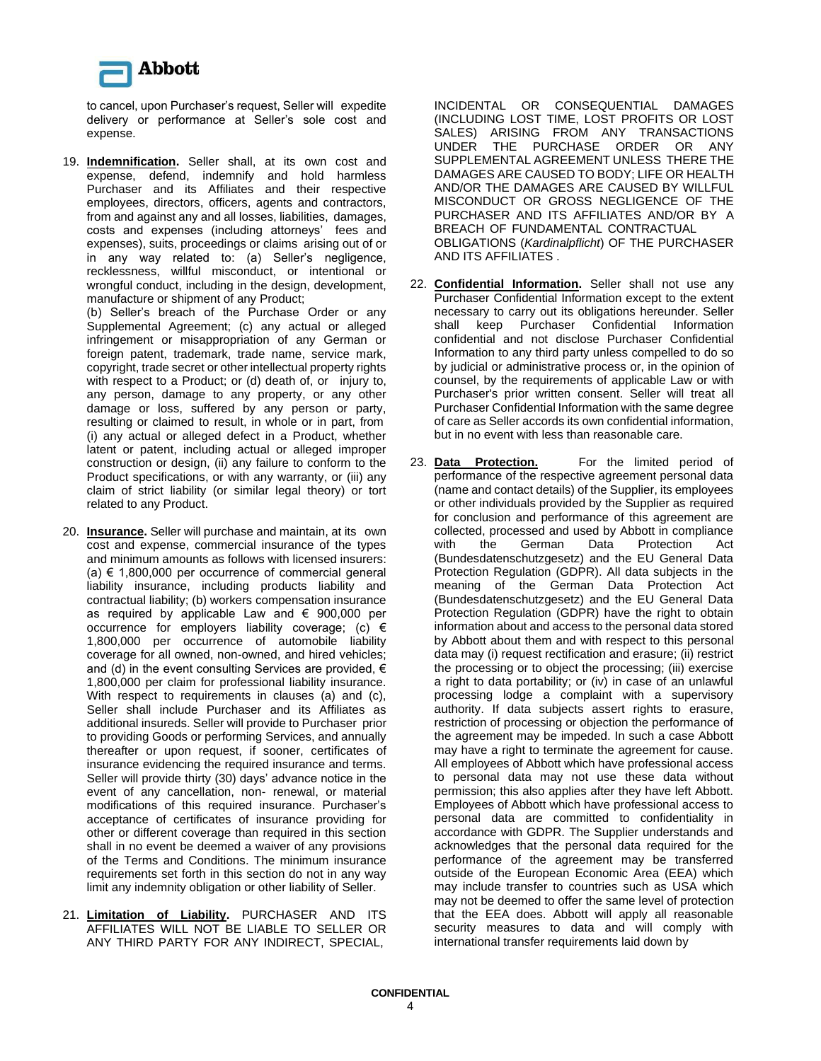

to cancel, upon Purchaser's request, Seller will expedite delivery or performance at Seller's sole cost and expense.

19. **Indemnification.** Seller shall, at its own cost and expense, defend, indemnify and hold harmless Purchaser and its Affiliates and their respective employees, directors, officers, agents and contractors, from and against any and all losses, liabilities, damages, costs and expenses (including attorneys' fees and expenses), suits, proceedings or claims arising out of or in any way related to: (a) Seller's negligence, recklessness, willful misconduct, or intentional or wrongful conduct, including in the design, development, manufacture or shipment of any Product;

(b) Seller's breach of the Purchase Order or any Supplemental Agreement; (c) any actual or alleged infringement or misappropriation of any German or foreign patent, trademark, trade name, service mark, copyright, trade secret or other intellectual property rights with respect to a Product; or (d) death of, or injury to, any person, damage to any property, or any other damage or loss, suffered by any person or party, resulting or claimed to result, in whole or in part, from (i) any actual or alleged defect in a Product, whether latent or patent, including actual or alleged improper construction or design, (ii) any failure to conform to the Product specifications, or with any warranty, or (iii) any claim of strict liability (or similar legal theory) or tort related to any Product.

- 20. **Insurance.** Seller will purchase and maintain, at its own cost and expense, commercial insurance of the types and minimum amounts as follows with licensed insurers: (a)  $€$  1,800,000 per occurrence of commercial general liability insurance, including products liability and contractual liability; (b) workers compensation insurance as required by applicable Law and € 900,000 per occurrence for employers liability coverage; (c)  $\epsilon$ 1,800,000 per occurrence of automobile liability coverage for all owned, non-owned, and hired vehicles; and (d) in the event consulting Services are provided,  $\epsilon$ 1,800,000 per claim for professional liability insurance. With respect to requirements in clauses (a) and (c), Seller shall include Purchaser and its Affiliates as additional insureds. Seller will provide to Purchaser prior to providing Goods or performing Services, and annually thereafter or upon request, if sooner, certificates of insurance evidencing the required insurance and terms. Seller will provide thirty (30) days' advance notice in the event of any cancellation, non- renewal, or material modifications of this required insurance. Purchaser's acceptance of certificates of insurance providing for other or different coverage than required in this section shall in no event be deemed a waiver of any provisions of the Terms and Conditions. The minimum insurance requirements set forth in this section do not in any way limit any indemnity obligation or other liability of Seller.
- 21. **Limitation of Liability.** PURCHASER AND ITS AFFILIATES WILL NOT BE LIABLE TO SELLER OR ANY THIRD PARTY FOR ANY INDIRECT, SPECIAL,

INCIDENTAL OR CONSEQUENTIAL DAMAGES (INCLUDING LOST TIME, LOST PROFITS OR LOST SALES) ARISING FROM ANY TRANSACTIONS UNDER THE PURCHASE ORDER OR ANY SUPPLEMENTAL AGREEMENT UNLESS THERE THE DAMAGES ARE CAUSED TO BODY; LIFE OR HEALTH AND/OR THE DAMAGES ARE CAUSED BY WILLFUL MISCONDUCT OR GROSS NEGLIGENCE OF THE PURCHASER AND ITS AFFILIATES AND/OR BY A BREACH OF FUNDAMENTAL CONTRACTUAL OBLIGATIONS (*Kardinalpflicht*) OF THE PURCHASER AND ITS AFFILIATES .

- 22. **Confidential Information.** Seller shall not use any Purchaser Confidential Information except to the extent necessary to carry out its obligations hereunder. Seller shall keep Purchaser Confidential Information confidential and not disclose Purchaser Confidential Information to any third party unless compelled to do so by judicial or administrative process or, in the opinion of counsel, by the requirements of applicable Law or with Purchaser's prior written consent. Seller will treat all Purchaser Confidential Information with the same degree of care as Seller accords its own confidential information, but in no event with less than reasonable care.
- 23. **Data Protection.** For the limited period of performance of the respective agreement personal data (name and contact details) of the Supplier, its employees or other individuals provided by the Supplier as required for conclusion and performance of this agreement are collected, processed and used by Abbott in compliance with the German Data Protection Act (Bundesdatenschutzgesetz) and the EU General Data Protection Regulation (GDPR). All data subjects in the meaning of the German Data Protection Act (Bundesdatenschutzgesetz) and the EU General Data Protection Regulation (GDPR) have the right to obtain information about and access to the personal data stored by Abbott about them and with respect to this personal data may (i) request rectification and erasure; (ii) restrict the processing or to object the processing; (iii) exercise a right to data portability; or (iv) in case of an unlawful processing lodge a complaint with a supervisory authority. If data subjects assert rights to erasure, restriction of processing or objection the performance of the agreement may be impeded. In such a case Abbott may have a right to terminate the agreement for cause. All employees of Abbott which have professional access to personal data may not use these data without permission; this also applies after they have left Abbott. Employees of Abbott which have professional access to personal data are committed to confidentiality in accordance with GDPR. The Supplier understands and acknowledges that the personal data required for the performance of the agreement may be transferred outside of the European Economic Area (EEA) which may include transfer to countries such as USA which may not be deemed to offer the same level of protection that the EEA does. Abbott will apply all reasonable security measures to data and will comply with international transfer requirements laid down by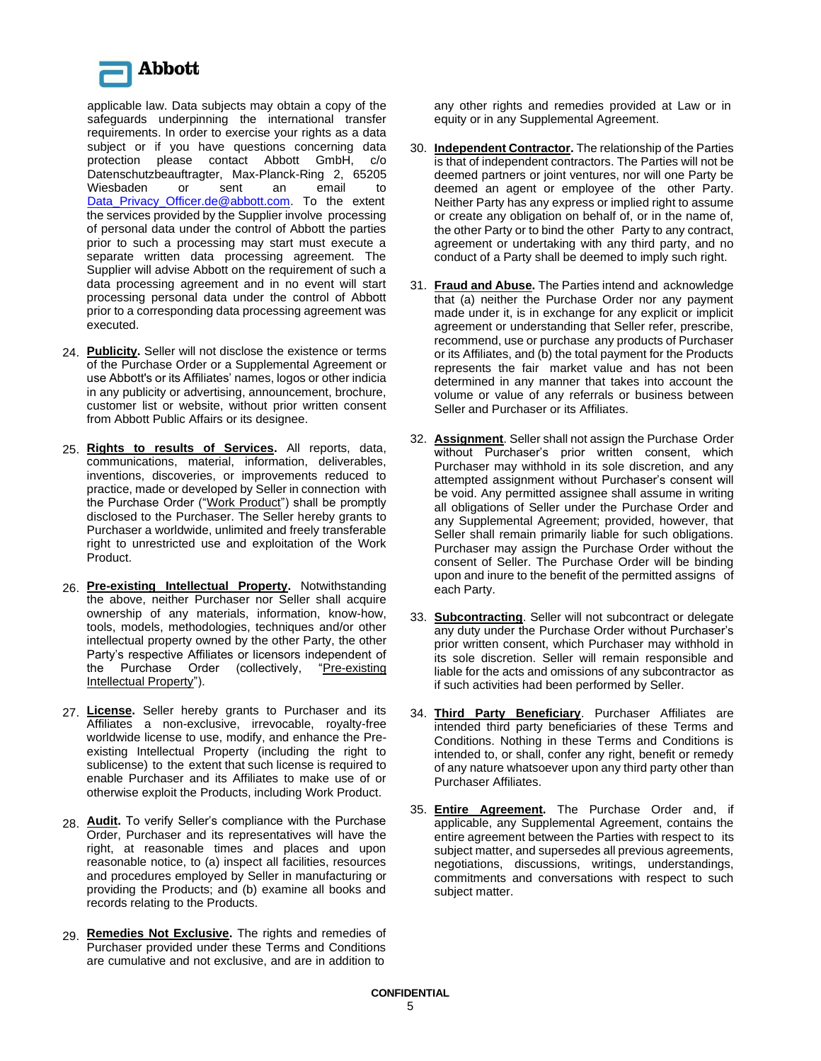

the services provided by the Supplier involve processing of personal data under the control of Abbott the parties prior to such a processing may start must execute a separate written data processing agreement. The Supplier will advise Abbott on the requirement of such a data processing agreement and in no event will start processing personal data under the control of Abbott prior to a corresponding data processing agreement was executed. applicable law. Data subjects may obtain a copy of the safeguards underpinning the international transfer requirements. In order to exercise your rights as a data subject or if you have questions concerning data protection please contact Abbott GmbH, c/o Datenschutzbeauftragter, Max-Planck-Ring 2, 65205 Wiesbaden or sent an email to Data Privacy Officer.de@abbott.com. To the extent

- 24. **Publicity.** Seller will not disclose the existence or terms of the Purchase Order or a Supplemental Agreement or use Abbott's or its Affiliates' names, logos or other indicia in any publicity or advertising, announcement, brochure, customer list or website, without prior written consent from Abbott Public Affairs or its designee.
- 25. **Rights to results of Services.** All reports, data, communications, material, information, deliverables, inventions, discoveries, or improvements reduced to practice, made or developed by Seller in connection with the Purchase Order ("Work Product") shall be promptly disclosed to the Purchaser. The Seller hereby grants to Purchaser a worldwide, unlimited and freely transferable right to unrestricted use and exploitation of the Work Product.
- 26. **Pre-existing Intellectual Property.** Notwithstanding the above, neither Purchaser nor Seller shall acquire ownership of any materials, information, know-how, tools, models, methodologies, techniques and/or other intellectual property owned by the other Party, the other Party's respective Affiliates or licensors independent of the Purchase Order (collectively, "Pre-existing Intellectual Property").
- 27. **License.** Seller hereby grants to Purchaser and its Affiliates a non-exclusive, irrevocable, royalty-free worldwide license to use, modify, and enhance the Preexisting Intellectual Property (including the right to sublicense) to the extent that such license is required to enable Purchaser and its Affiliates to make use of or otherwise exploit the Products, including Work Product.
- 28. **Audit.** To verify Seller's compliance with the Purchase Order, Purchaser and its representatives will have the right, at reasonable times and places and upon reasonable notice, to (a) inspect all facilities, resources and procedures employed by Seller in manufacturing or providing the Products; and (b) examine all books and records relating to the Products.
- 29. **Remedies Not Exclusive.** The rights and remedies of Purchaser provided under these Terms and Conditions are cumulative and not exclusive, and are in addition to

any other rights and remedies provided at Law or in equity or in any Supplemental Agreement.

- 30. **Independent Contractor.** The relationship of the Parties is that of independent contractors. The Parties will not be deemed partners or joint ventures, nor will one Party be deemed an agent or employee of the other Party. Neither Party has any express or implied right to assume or create any obligation on behalf of, or in the name of, the other Party or to bind the other Party to any contract, agreement or undertaking with any third party, and no conduct of a Party shall be deemed to imply such right.
- 31. **Fraud and Abuse.** The Parties intend and acknowledge that (a) neither the Purchase Order nor any payment made under it, is in exchange for any explicit or implicit agreement or understanding that Seller refer, prescribe, recommend, use or purchase any products of Purchaser or its Affiliates, and (b) the total payment for the Products represents the fair market value and has not been determined in any manner that takes into account the volume or value of any referrals or business between Seller and Purchaser or its Affiliates.
- 32. **Assignment**. Seller shall not assign the Purchase Order without Purchaser's prior written consent, which Purchaser may withhold in its sole discretion, and any attempted assignment without Purchaser's consent will be void. Any permitted assignee shall assume in writing all obligations of Seller under the Purchase Order and any Supplemental Agreement; provided, however, that Seller shall remain primarily liable for such obligations. Purchaser may assign the Purchase Order without the consent of Seller. The Purchase Order will be binding upon and inure to the benefit of the permitted assigns of each Party.
- 33. **Subcontracting**. Seller will not subcontract or delegate any duty under the Purchase Order without Purchaser's prior written consent, which Purchaser may withhold in its sole discretion. Seller will remain responsible and liable for the acts and omissions of any subcontractor as if such activities had been performed by Seller.
- 34. **Third Party Beneficiary**. Purchaser Affiliates are intended third party beneficiaries of these Terms and Conditions. Nothing in these Terms and Conditions is intended to, or shall, confer any right, benefit or remedy of any nature whatsoever upon any third party other than Purchaser Affiliates.
- 35. **Entire Agreement.** The Purchase Order and, if applicable, any Supplemental Agreement, contains the entire agreement between the Parties with respect to its subject matter, and supersedes all previous agreements, negotiations, discussions, writings, understandings, commitments and conversations with respect to such subject matter.